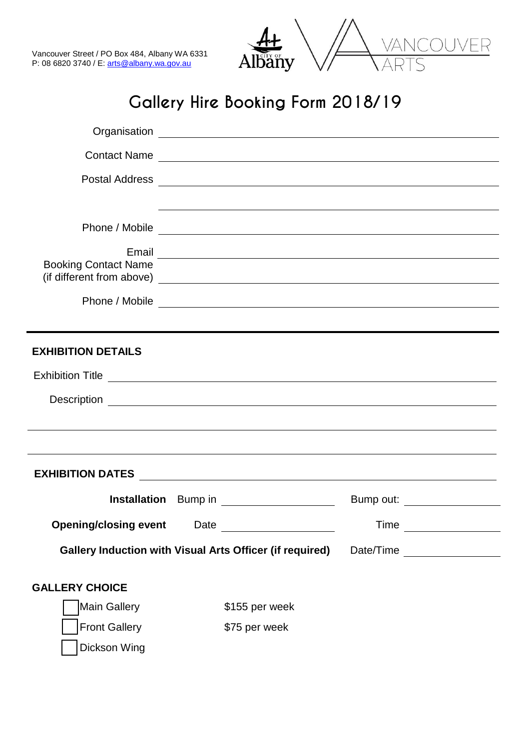



# **Gallery Hire Booking Form 2018/19**

|                              |      | Contact Name                                                                     |      |           |
|------------------------------|------|----------------------------------------------------------------------------------|------|-----------|
|                              |      |                                                                                  |      |           |
|                              |      | ,我们也不会有什么。""我们的人,我们也不会有什么?""我们的人,我们也不会有什么?""我们的人,我们也不会有什么?""我们的人,我们也不会有什么?""我们的人 |      |           |
|                              |      |                                                                                  |      |           |
|                              |      |                                                                                  |      |           |
| <b>Booking Contact Name</b>  |      |                                                                                  |      |           |
|                              |      |                                                                                  |      |           |
|                              |      |                                                                                  |      |           |
| <b>EXHIBITION DETAILS</b>    |      |                                                                                  |      |           |
| Exhibition Title             |      |                                                                                  |      |           |
|                              |      |                                                                                  |      |           |
|                              |      |                                                                                  |      |           |
|                              |      |                                                                                  |      |           |
|                              |      |                                                                                  |      |           |
|                              |      | Installation Bump in ____________________                                        |      |           |
| <b>Opening/closing event</b> | Date |                                                                                  | Time |           |
|                              |      | <b>Gallery Induction with Visual Arts Officer (if required)</b>                  |      | Date/Time |
| <b>GALLERY CHOICE</b>        |      |                                                                                  |      |           |
| Main Gallery                 |      | \$155 per week                                                                   |      |           |
| <b>Front Gallery</b>         |      | \$75 per week                                                                    |      |           |
| Dickson Wing                 |      |                                                                                  |      |           |